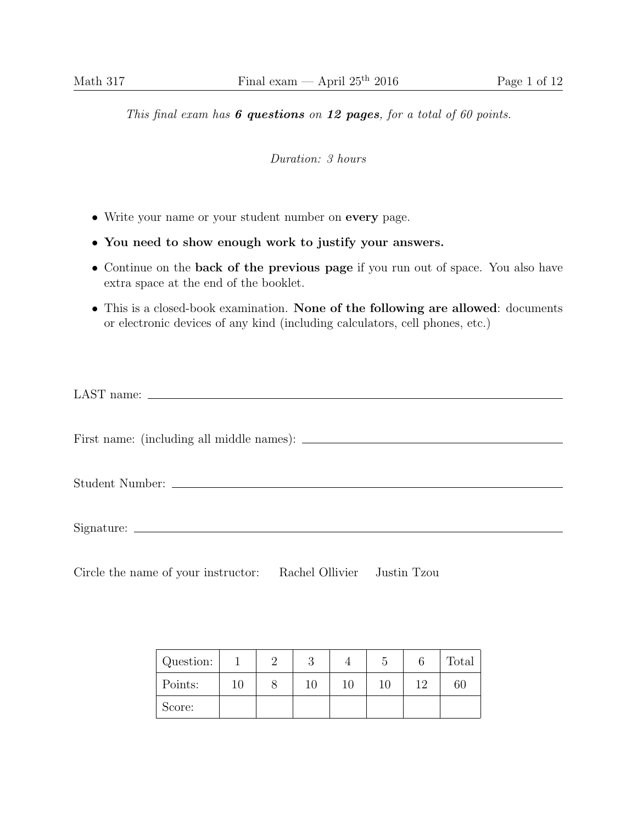## This final exam has  $6$  questions on 12 pages, for a total of 60 points.

Duration: 3 hours

- Write your name or your student number on every page.
- You need to show enough work to justify your answers.
- Continue on the back of the previous page if you run out of space. You also have extra space at the end of the booklet.
- This is a closed-book examination. None of the following are allowed: documents or electronic devices of any kind (including calculators, cell phones, etc.)

Circle the name of your instructor: Rachel Ollivier Justin Tzou

| Question: |  |    | C | Total |
|-----------|--|----|---|-------|
| Points:   |  | 10 |   | 60    |
| Score:    |  |    |   |       |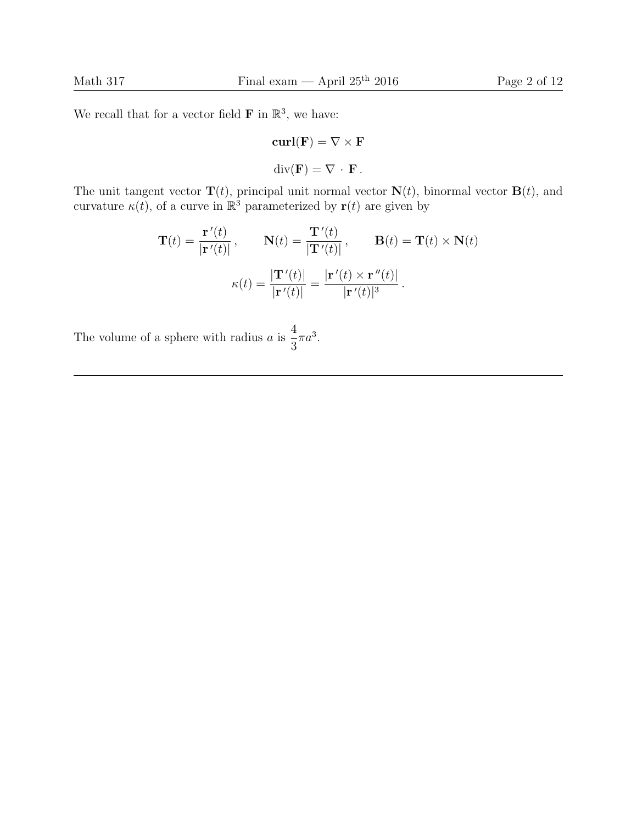We recall that for a vector field  $\mathbf{F}$  in  $\mathbb{R}^3$ , we have:

$$
\mathbf{curl}(\mathbf{F}) = \nabla \times \mathbf{F}
$$

$$
\mathrm{div}(\mathbf{F}) = \nabla \cdot \mathbf{F}.
$$

The unit tangent vector  $\mathbf{T}(t)$ , principal unit normal vector  $\mathbf{N}(t)$ , binormal vector  $\mathbf{B}(t)$ , and curvature  $\kappa(t)$ , of a curve in  $\mathbb{R}^3$  parameterized by  $\mathbf{r}(t)$  are given by

$$
\mathbf{T}(t) = \frac{\mathbf{r}'(t)}{|\mathbf{r}'(t)|}, \qquad \mathbf{N}(t) = \frac{\mathbf{T}'(t)}{|\mathbf{T}'(t)|}, \qquad \mathbf{B}(t) = \mathbf{T}(t) \times \mathbf{N}(t)
$$

$$
\kappa(t) = \frac{|\mathbf{T}'(t)|}{|\mathbf{r}'(t)|} = \frac{|\mathbf{r}'(t) \times \mathbf{r}''(t)|}{|\mathbf{r}'(t)|^3}.
$$

The volume of a sphere with radius  $a$  is 4 3  $\pi a^3$ .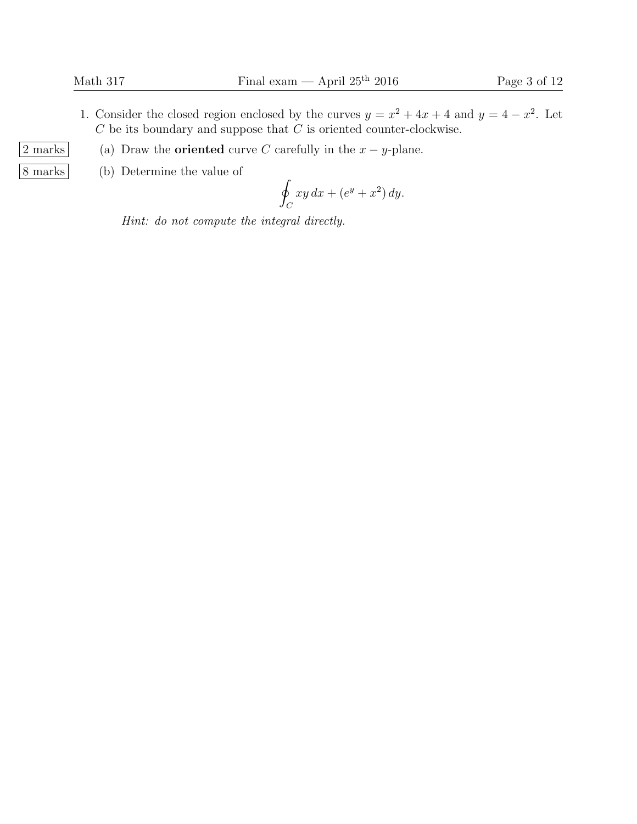- 1. Consider the closed region enclosed by the curves  $y = x^2 + 4x + 4$  and  $y = 4 x^2$ . Let  $C$  be its boundary and suppose that  $C$  is oriented counter-clockwise.
- 2 marks (a) Draw the **oriented** curve C carefully in the  $x y$ -plane.
- 8 marks (b) Determine the value of

$$
\oint_C xy\,dx + (e^y + x^2)\,dy.
$$

Hint: do not compute the integral directly.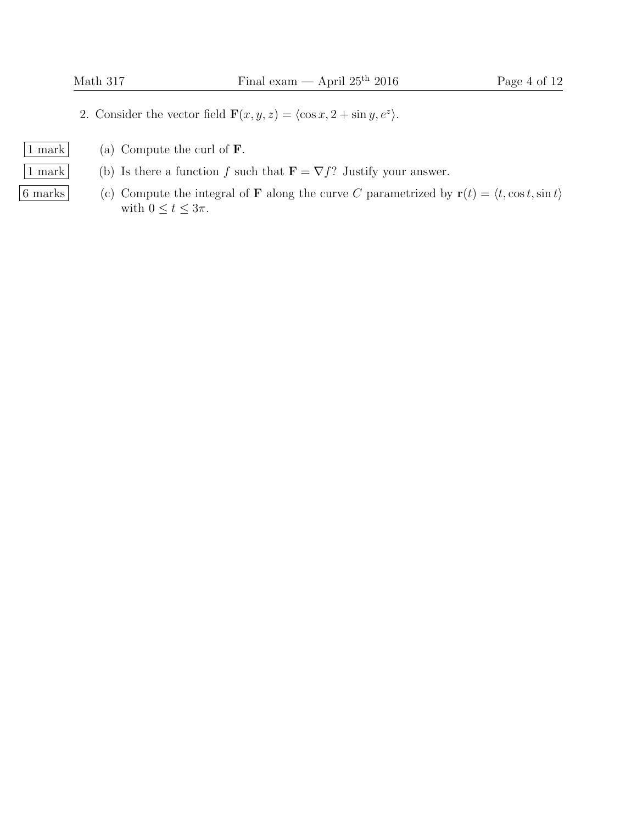- 2. Consider the vector field  $\mathbf{F}(x, y, z) = \langle \cos x, 2 + \sin y, e^z \rangle$ .
- 
- $\vert 1$  mark  $\vert$  (a) Compute the curl of **F**.
- 1 mark (b) Is there a function f such that  $\mathbf{F} = \nabla f$ ? Justify your answer.
- 6 marks (c) Compute the integral of **F** along the curve C parametrized by  $\mathbf{r}(t) = \langle t, \cos t, \sin t \rangle$ with  $0 \le t \le 3\pi$ .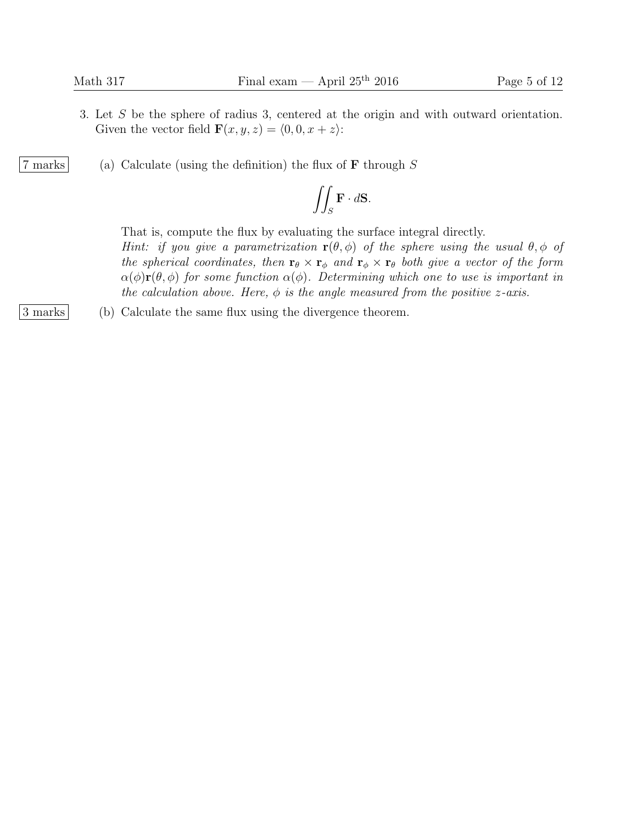- 3. Let S be the sphere of radius 3, centered at the origin and with outward orientation. Given the vector field  $\mathbf{F}(x, y, z) = \langle 0, 0, x + z \rangle$ :
- 7 marks (a) Calculate (using the definition) the flux of  $\bf{F}$  through  $S$

$$
\iint_{S} \mathbf{F} \cdot d\mathbf{S}.
$$

That is, compute the flux by evaluating the surface integral directly.

Hint: if you give a parametrization  $\mathbf{r}(\theta, \phi)$  of the sphere using the usual  $\theta, \phi$  of the spherical coordinates, then  $\mathbf{r}_{\theta} \times \mathbf{r}_{\phi}$  and  $\mathbf{r}_{\phi} \times \mathbf{r}_{\theta}$  both give a vector of the form  $\alpha(\phi)$ **r**( $\theta$ ,  $\phi$ ) for some function  $\alpha(\phi)$ . Determining which one to use is important in the calculation above. Here,  $\phi$  is the angle measured from the positive z-axis.

3 marks (b) Calculate the same flux using the divergence theorem.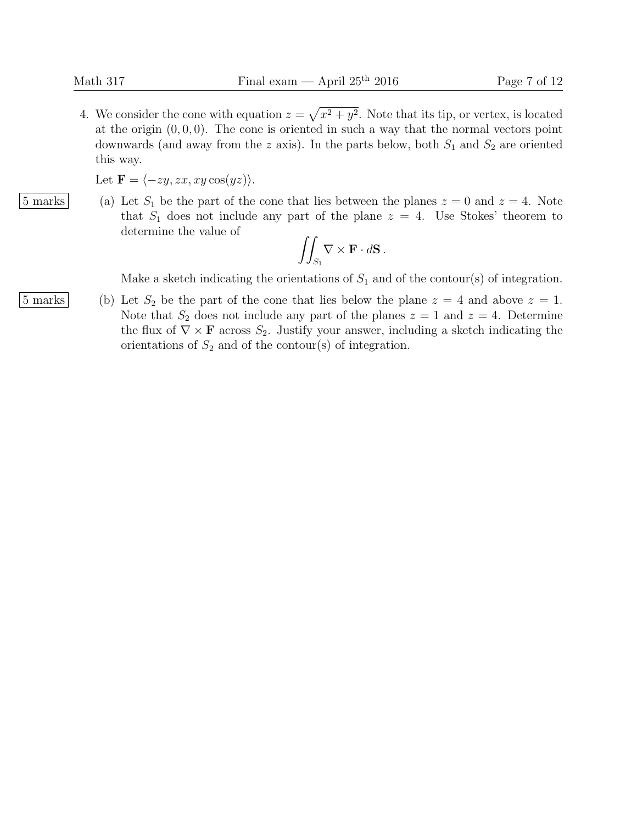4. We consider the cone with equation  $z = \sqrt{x^2 + y^2}$ . Note that its tip, or vertex, is located at the origin  $(0, 0, 0)$ . The cone is oriented in such a way that the normal vectors point downwards (and away from the z axis). In the parts below, both  $S_1$  and  $S_2$  are oriented this way.

Let  $\mathbf{F} = \langle -zy, zx, xy \cos(yz) \rangle.$ 

 $|5 \text{ marks}|$  (a) Let  $S_1$  be the part of the cone that lies between the planes  $z = 0$  and  $z = 4$ . Note that  $S_1$  does not include any part of the plane  $z = 4$ . Use Stokes' theorem to determine the value of

$$
\iint_{S_1} \nabla \times \mathbf{F} \cdot d\mathbf{S}.
$$

Make a sketch indicating the orientations of  $S_1$  and of the contour(s) of integration.

 $\vert 5 \text{ marks} \vert$  (b) Let  $S_2$  be the part of the cone that lies below the plane  $z = 4$  and above  $z = 1$ . Note that  $S_2$  does not include any part of the planes  $z = 1$  and  $z = 4$ . Determine the flux of  $\nabla \times \mathbf{F}$  across  $S_2$ . Justify your answer, including a sketch indicating the orientations of  $S_2$  and of the contour(s) of integration.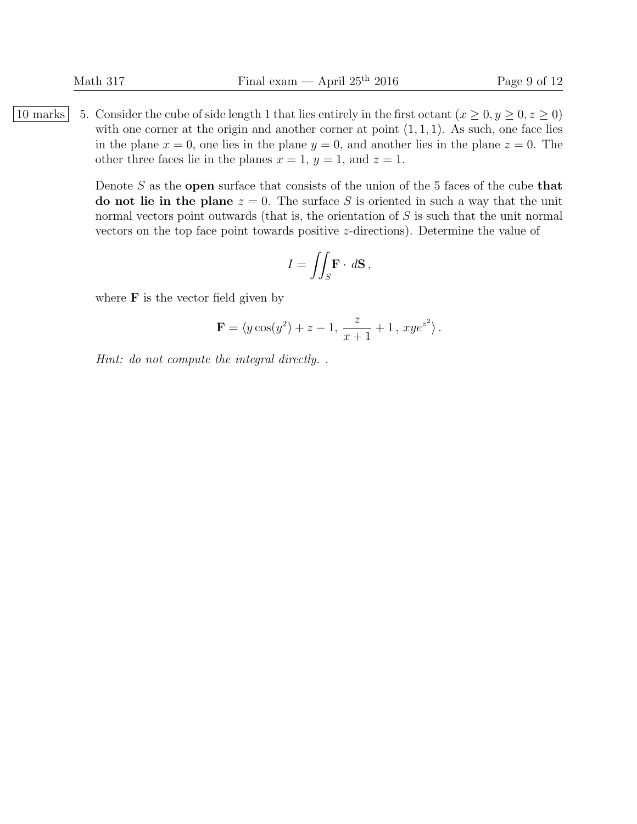|10 marks | 5. Consider the cube of side length 1 that lies entirely in the first octant  $(x \ge 0, y \ge 0, z \ge 0)$ with one corner at the origin and another corner at point  $(1, 1, 1)$ . As such, one face lies in the plane  $x = 0$ , one lies in the plane  $y = 0$ , and another lies in the plane  $z = 0$ . The other three faces lie in the planes  $x = 1$ ,  $y = 1$ , and  $z = 1$ .

> Denote  $S$  as the open surface that consists of the union of the 5 faces of the cube that do not lie in the plane  $z = 0$ . The surface S is oriented in such a way that the unit normal vectors point outwards (that is, the orientation of S is such that the unit normal vectors on the top face point towards positive z-directions). Determine the value of

$$
I = \iint_S \mathbf{F} \cdot d\mathbf{S},
$$

where  $\bf{F}$  is the vector field given by

$$
\mathbf{F} = \langle y \cos(y^2) + z - 1, \, \frac{z}{x+1} + 1 \, , \, x y e^{z^2} \rangle \, .
$$

Hint: do not compute the integral directly. .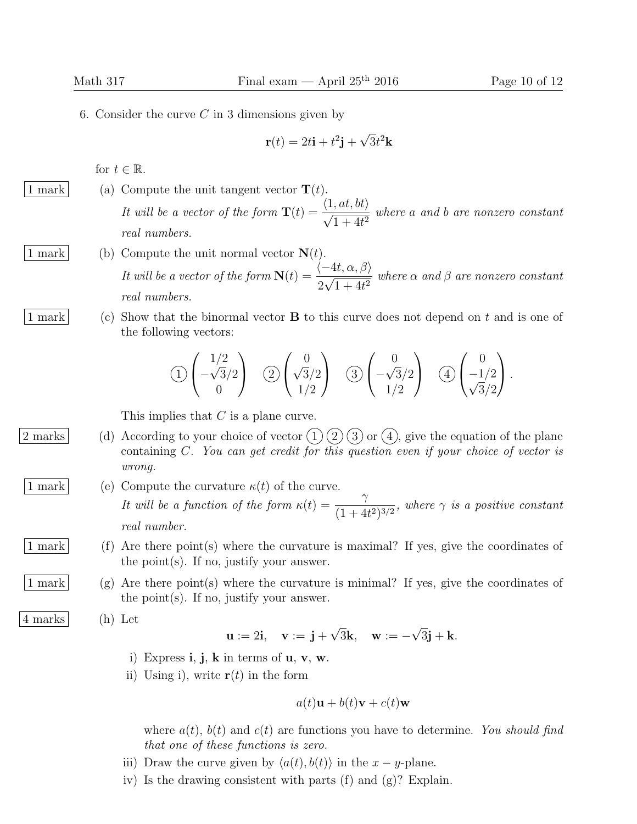6. Consider the curve  $C$  in 3 dimensions given by

$$
\mathbf{r}(t) = 2t\mathbf{i} + t^2\mathbf{j} + \sqrt{3}t^2\mathbf{k}
$$

for  $t \in \mathbb{R}$ .

- 1 mark (a) Compute the unit tangent vector  $\mathbf{T}(t)$ . It will be a vector of the form  $\mathbf{T}(t) = \frac{\langle 1, at, bt \rangle}{\langle 1, \dots \rangle}$  $\frac{1}{1+4t^2}$  where a and b are nonzero constant real numbers.
- 1 mark (b) Compute the unit normal vector  $N(t)$ . It will be a vector of the form  $\mathbf{N}(t) = \frac{\langle -4t, \alpha, \beta \rangle}{\gamma$ 2 √  $\frac{1}{1+4t^2}$  where  $\alpha$  and  $\beta$  are nonzero constant real numbers.
- 

1 mark (c) Show that the binormal vector B to this curve does not depend on t and is one of the following vectors:

$$
\textcircled{1}\begin{pmatrix}1/2\\-\sqrt{3}/2\\0\end{pmatrix}\quad \textcircled{2}\begin{pmatrix}0\\ \sqrt{3}/2\\1/2\end{pmatrix}\quad \textcircled{3}\begin{pmatrix}0\\-\sqrt{3}/2\\1/2\end{pmatrix}\quad \textcircled{4}\begin{pmatrix}0\\-1/2\\ \sqrt{3}/2\end{pmatrix}.
$$

This implies that C is a plane curve.

- 2 marks (d) According to your choice of vector  $(1)$   $(2)$   $(3)$  or  $(4)$ , give the equation of the plane containing C. You can get credit for this question even if your choice of vector is wrong.
- 1 mark (e) Compute the curvature  $\kappa(t)$  of the curve. It will be a function of the form  $\kappa(t) = \frac{\gamma}{(1+t)^{1+\gamma}}$  $\frac{1}{(1+4t^2)^{3/2}}$ , where  $\gamma$  is a positive constant real number.
- 1 mark (f) Are there point(s) where the curvature is maximal? If yes, give the coordinates of the point(s). If no, justify your answer.
- 1 mark (g) Are there point(s) where the curvature is minimal? If yes, give the coordinates of the point(s). If no, justify your answer.
- 4 marks (h) Let

$$
\mathbf{u} := 2\mathbf{i}, \quad \mathbf{v} := \mathbf{j} + \sqrt{3}\mathbf{k}, \quad \mathbf{w} := -\sqrt{3}\mathbf{j} + \mathbf{k}.
$$

- i) Express  $\mathbf{i}, \mathbf{j}, \mathbf{k}$  in terms of  $\mathbf{u}, \mathbf{v}, \mathbf{w}$ .
- ii) Using i), write  $\mathbf{r}(t)$  in the form

$$
a(t)\mathbf{u} + b(t)\mathbf{v} + c(t)\mathbf{w}
$$

where  $a(t)$ ,  $b(t)$  and  $c(t)$  are functions you have to determine. You should find that one of these functions is zero.

- iii) Draw the curve given by  $\langle a(t), b(t) \rangle$  in the  $x y$ -plane.
- iv) Is the drawing consistent with parts (f) and (g)? Explain.